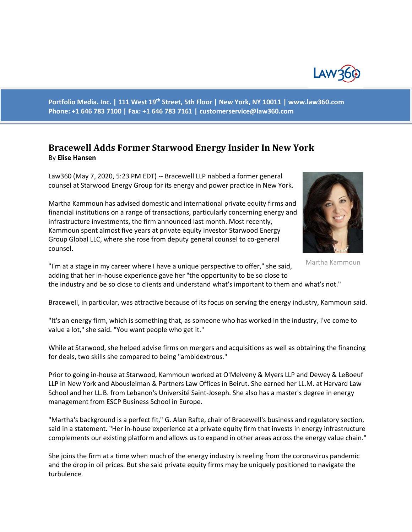

**Portfolio Media. Inc. | 111 West 19th Street, 5th Floor | New York, NY 10011 | www.law360.com Phone: +1 646 783 7100 | Fax: +1 646 783 7161 | [customerservice@law360.com](mailto:customerservice@law360.com)**

## **Bracewell Adds Former Starwood Energy Insider In New York** By **Elise Hansen**

Law360 (May 7, 2020, 5:23 PM EDT) -- Bracewell LLP nabbed a former general counsel at Starwood Energy Group for its energy and power practice in New York.

Martha Kammoun has advised domestic and international private equity firms and financial institutions on a range of transactions, particularly concerning energy and infrastructure investments, the firm announced last month. Most recently, Kammoun spent almost five years at private equity investor Starwood Energy Group Global LLC, where she rose from deputy general counsel to co-general counsel.



Martha Kammoun

"I'm at a stage in my career where I have a unique perspective to offer," she said, adding that her in-house experience gave her "the opportunity to be so close to the industry and be so close to clients and understand what's important to them and what's not."

Bracewell, in particular, was attractive because of its focus on serving the energy industry, Kammoun said.

"It's an energy firm, which is something that, as someone who has worked in the industry, I've come to value a lot," she said. "You want people who get it."

While at Starwood, she helped advise firms on mergers and acquisitions as well as obtaining the financing for deals, two skills she compared to being "ambidextrous."

Prior to going in-house at Starwood, Kammoun worked at O'Melveny & Myers LLP and Dewey & LeBoeuf LLP in New York and Abousleiman & Partners Law Offices in Beirut. She earned her LL.M. at Harvard Law School and her LL.B. from Lebanon's Université Saint-Joseph. She also has a master's degree in energy management from ESCP Business School in Europe.

"Martha's background is a perfect fit," G. Alan Rafte, chair of Bracewell's business and regulatory section, said in a statement. "Her in-house experience at a private equity firm that invests in energy infrastructure complements our existing platform and allows us to expand in other areas across the energy value chain."

She joins the firm at a time when much of the energy industry is reeling from the coronavirus pandemic and the drop in oil prices. But she said private equity firms may be uniquely positioned to navigate the turbulence.